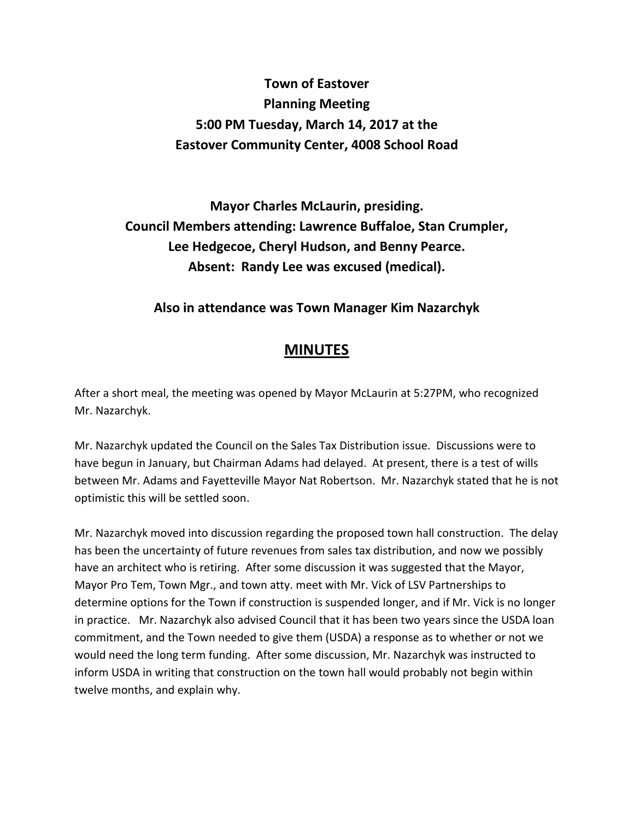## **Town of Eastover Planning Meeting 5:00 PM Tuesday, March 14, 2017 at the Eastover Community Center, 4008 School Road**

**Mayor Charles McLaurin, presiding. Council Members attending: Lawrence Buffaloe, Stan Crumpler, Lee Hedgecoe, Cheryl Hudson, and Benny Pearce. Absent: Randy Lee was excused (medical).** 

## **Also in attendance was Town Manager Kim Nazarchyk**

## **MINUTES**

After a short meal, the meeting was opened by Mayor McLaurin at 5:27PM, who recognized Mr. Nazarchyk.

Mr. Nazarchyk updated the Council on the Sales Tax Distribution issue. Discussions were to have begun in January, but Chairman Adams had delayed. At present, there is a test of wills between Mr. Adams and Fayetteville Mayor Nat Robertson. Mr. Nazarchyk stated that he is not optimistic this will be settled soon.

Mr. Nazarchyk moved into discussion regarding the proposed town hall construction. The delay has been the uncertainty of future revenues from sales tax distribution, and now we possibly have an architect who is retiring. After some discussion it was suggested that the Mayor, Mayor Pro Tem, Town Mgr., and town atty. meet with Mr. Vick of LSV Partnerships to determine options for the Town if construction is suspended longer, and if Mr. Vick is no longer in practice. Mr. Nazarchyk also advised Council that it has been two years since the USDA loan commitment, and the Town needed to give them (USDA) a response as to whether or not we would need the long term funding. After some discussion, Mr. Nazarchyk was instructed to inform USDA in writing that construction on the town hall would probably not begin within twelve months, and explain why.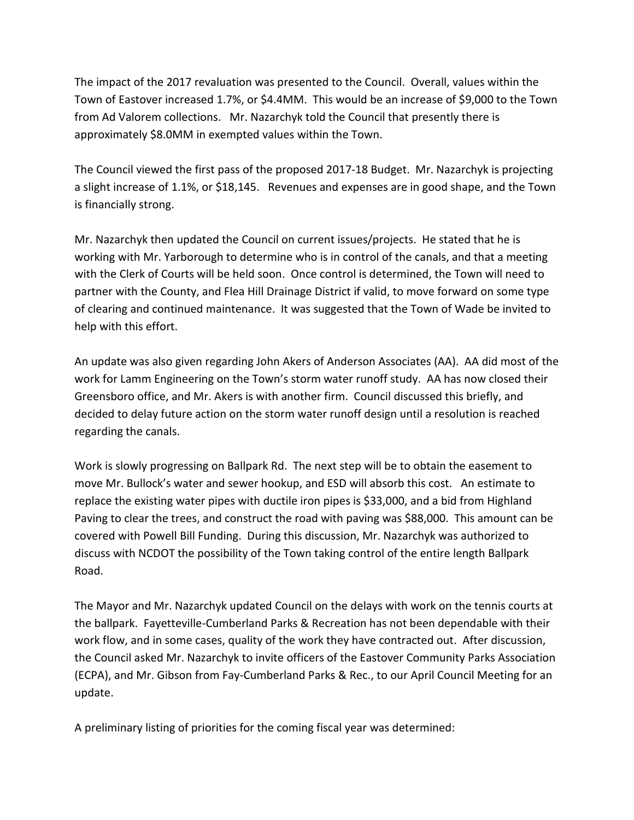The impact of the 2017 revaluation was presented to the Council. Overall, values within the Town of Eastover increased 1.7%, or \$4.4MM. This would be an increase of \$9,000 to the Town from Ad Valorem collections. Mr. Nazarchyk told the Council that presently there is approximately \$8.0MM in exempted values within the Town.

The Council viewed the first pass of the proposed 2017-18 Budget. Mr. Nazarchyk is projecting a slight increase of 1.1%, or \$18,145. Revenues and expenses are in good shape, and the Town is financially strong.

Mr. Nazarchyk then updated the Council on current issues/projects. He stated that he is working with Mr. Yarborough to determine who is in control of the canals, and that a meeting with the Clerk of Courts will be held soon. Once control is determined, the Town will need to partner with the County, and Flea Hill Drainage District if valid, to move forward on some type of clearing and continued maintenance. It was suggested that the Town of Wade be invited to help with this effort.

An update was also given regarding John Akers of Anderson Associates (AA). AA did most of the work for Lamm Engineering on the Town's storm water runoff study. AA has now closed their Greensboro office, and Mr. Akers is with another firm. Council discussed this briefly, and decided to delay future action on the storm water runoff design until a resolution is reached regarding the canals.

Work is slowly progressing on Ballpark Rd. The next step will be to obtain the easement to move Mr. Bullock's water and sewer hookup, and ESD will absorb this cost. An estimate to replace the existing water pipes with ductile iron pipes is \$33,000, and a bid from Highland Paving to clear the trees, and construct the road with paving was \$88,000. This amount can be covered with Powell Bill Funding. During this discussion, Mr. Nazarchyk was authorized to discuss with NCDOT the possibility of the Town taking control of the entire length Ballpark Road.

The Mayor and Mr. Nazarchyk updated Council on the delays with work on the tennis courts at the ballpark. Fayetteville-Cumberland Parks & Recreation has not been dependable with their work flow, and in some cases, quality of the work they have contracted out. After discussion, the Council asked Mr. Nazarchyk to invite officers of the Eastover Community Parks Association (ECPA), and Mr. Gibson from Fay-Cumberland Parks & Rec., to our April Council Meeting for an update.

A preliminary listing of priorities for the coming fiscal year was determined: